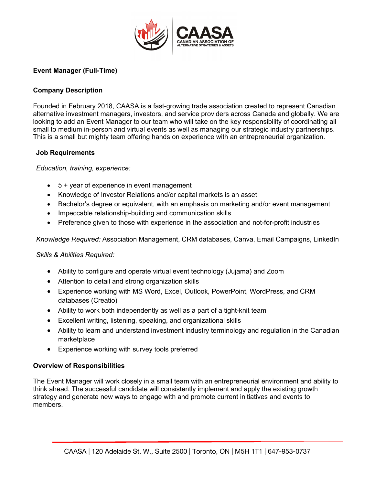

# **Event Manager (Full-Time)**

## **Company Description**

Founded in February 2018, CAASA is a fast-growing trade association created to represent Canadian alternative investment managers, investors, and service providers across Canada and globally. We are looking to add an Event Manager to our team who will take on the key responsibility of coordinating all small to medium in-person and virtual events as well as managing our strategic industry partnerships. This is a small but mighty team offering hands on experience with an entrepreneurial organization.

### **Job Requirements**

### *Education, training, experience:*

- 5 + year of experience in event management
- Knowledge of Investor Relations and/or capital markets is an asset
- Bachelor's degree or equivalent, with an emphasis on marketing and/or event management
- Impeccable relationship-building and communication skills
- Preference given to those with experience in the association and not-for-profit industries

*Knowledge Required:* Association Management, CRM databases, Canva, Email Campaigns, LinkedIn

### *Skills & Abilities Required:*

- Ability to configure and operate virtual event technology (Jujama) and Zoom
- Attention to detail and strong organization skills
- Experience working with MS Word, Excel, Outlook, PowerPoint, WordPress, and CRM databases (Creatio)
- Ability to work both independently as well as a part of a tight-knit team
- Excellent writing, listening, speaking, and organizational skills
- Ability to learn and understand investment industry terminology and regulation in the Canadian marketplace
- Experience working with survey tools preferred

### **Overview of Responsibilities**

The Event Manager will work closely in a small team with an entrepreneurial environment and ability to think ahead. The successful candidate will consistently implement and apply the existing growth strategy and generate new ways to engage with and promote current initiatives and events to members.